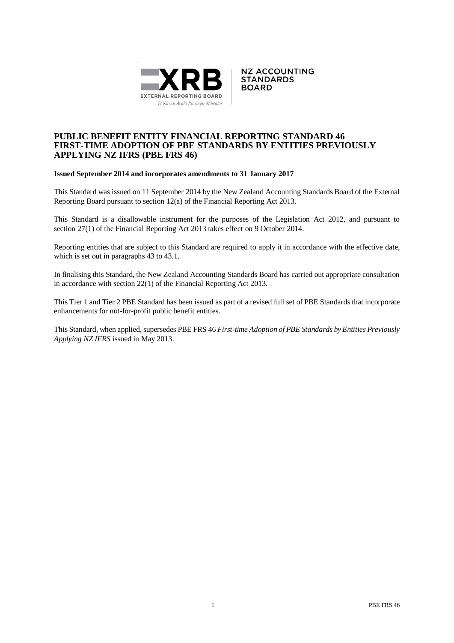



## **PUBLIC BENEFIT ENTITY FINANCIAL REPORTING STANDARD 46 FIRST-TIME ADOPTION OF PBE STANDARDS BY ENTITIES PREVIOUSLY APPLYING NZ IFRS (PBE FRS 46)**

#### **Issued September 2014 and incorporates amendments to 31 January 2017**

This Standard was issued on 11 September 2014 by the New Zealand Accounting Standards Board of the External Reporting Board pursuant to section 12(a) of the Financial Reporting Act 2013.

This Standard is a disallowable instrument for the purposes of the Legislation Act 2012, and pursuant to section 27(1) of the Financial Reporting Act 2013 takes effect on 9 October 2014.

Reporting entities that are subject to this Standard are required to apply it in accordance with the effective date, which is set out in paragraphs 43 to 43.1.

In finalising this Standard, the New Zealand Accounting Standards Board has carried out appropriate consultation in accordance with section 22(1) of the Financial Reporting Act 2013.

This Tier 1 and Tier 2 PBE Standard has been issued as part of a revised full set of PBE Standards that incorporate enhancements for not-for-profit public benefit entities.

This Standard, when applied, supersedes PBE FRS 46 *First-time Adoption of PBE Standards by Entities Previously Applying NZ IFRS* issued in May 2013.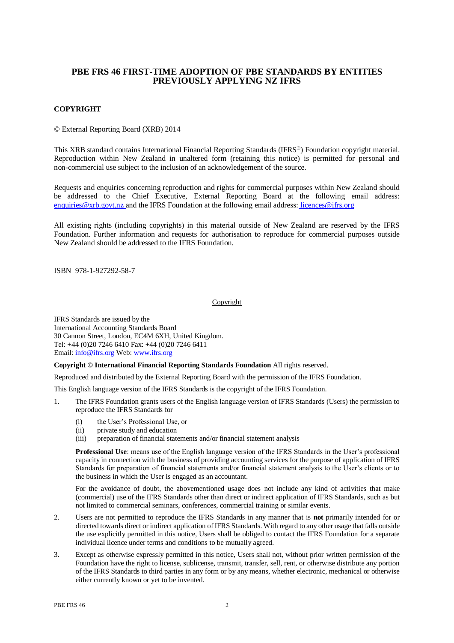## **PBE FRS 46 FIRST-TIME ADOPTION OF PBE STANDARDS BY ENTITIES PREVIOUSLY APPLYING NZ IFRS**

#### **COPYRIGHT**

© External Reporting Board (XRB) 2014

This XRB standard contains International Financial Reporting Standards (IFRS®) Foundation copyright material. Reproduction within New Zealand in unaltered form (retaining this notice) is permitted for personal and non-commercial use subject to the inclusion of an acknowledgement of the source.

Requests and enquiries concerning reproduction and rights for commercial purposes within New Zealand should be addressed to the Chief Executive, External Reporting Board at the following email address: [enquiries@xrb.govt.nz](mailto:enquiries@xrb.govt.nz) and the IFRS Foundation at the following email address: licences@ifrs.org

All existing rights (including copyrights) in this material outside of New Zealand are reserved by the IFRS Foundation. Further information and requests for authorisation to reproduce for commercial purposes outside New Zealand should be addressed to the IFRS Foundation.

ISBN 978-1-927292-58-7

#### Copyright

IFRS Standards are issued by the International Accounting Standards Board 30 Cannon Street, London, EC4M 6XH, United Kingdom. Tel: +44 (0)20 7246 6410 Fax: +44 (0)20 7246 6411 Email[: info@ifrs.org](mailto:info@ifrs.org) Web[: www.ifrs.org](http://www.ifrs.org/)

#### **Copyright © International Financial Reporting Standards Foundation** All rights reserved.

Reproduced and distributed by the External Reporting Board with the permission of the IFRS Foundation.

This English language version of the IFRS Standards is the copyright of the IFRS Foundation.

- 1. The IFRS Foundation grants users of the English language version of IFRS Standards (Users) the permission to reproduce the IFRS Standards for
	- (i) the User's Professional Use, or
	- (ii) private study and education
	- (iii) preparation of financial statements and/or financial statement analysis

**Professional Use**: means use of the English language version of the IFRS Standards in the User's professional capacity in connection with the business of providing accounting services for the purpose of application of IFRS Standards for preparation of financial statements and/or financial statement analysis to the User's clients or to the business in which the User is engaged as an accountant.

For the avoidance of doubt, the abovementioned usage does not include any kind of activities that make (commercial) use of the IFRS Standards other than direct or indirect application of IFRS Standards, such as but not limited to commercial seminars, conferences, commercial training or similar events.

- 2. Users are not permitted to reproduce the IFRS Standards in any manner that is **not** primarily intended for or directed towards direct or indirect application of IFRS Standards. With regard to any other usage that falls outside the use explicitly permitted in this notice, Users shall be obliged to contact the IFRS Foundation for a separate individual licence under terms and conditions to be mutually agreed.
- 3. Except as otherwise expressly permitted in this notice, Users shall not, without prior written permission of the Foundation have the right to license, sublicense, transmit, transfer, sell, rent, or otherwise distribute any portion of the IFRS Standards to third parties in any form or by any means, whether electronic, mechanical or otherwise either currently known or yet to be invented.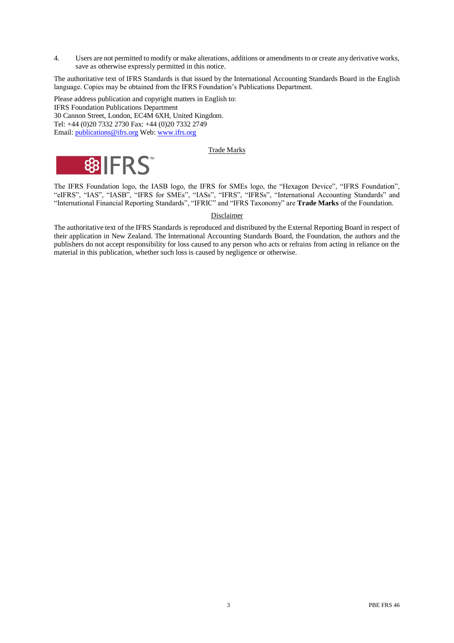4. Users are not permitted to modify or make alterations, additions or amendments to or create any derivative works, save as otherwise expressly permitted in this notice.

The authoritative text of IFRS Standards is that issued by the International Accounting Standards Board in the English language. Copies may be obtained from the IFRS Foundation's Publications Department.

Please address publication and copyright matters in English to: IFRS Foundation Publications Department 30 Cannon Street, London, EC4M 6XH, United Kingdom. Tel: +44 (0)20 7332 2730 Fax: +44 (0)20 7332 2749 Email[: publications@ifrs.org](mailto:publications@ifrs.org) Web: [www.ifrs.org](http://www.ifrs.org/)

## Trade Marks



The IFRS Foundation logo, the IASB logo, the IFRS for SMEs logo, the "Hexagon Device", "IFRS Foundation", "eIFRS", "IAS", "IASB", "IFRS for SMEs", "IASs", "IFRS", "IFRSs", "International Accounting Standards" and "International Financial Reporting Standards", "IFRIC" and "IFRS Taxonomy" are **Trade Marks** of the Foundation.

#### Disclaimer

The authoritative text of the IFRS Standards is reproduced and distributed by the External Reporting Board in respect of their application in New Zealand. The International Accounting Standards Board, the Foundation, the authors and the publishers do not accept responsibility for loss caused to any person who acts or refrains from acting in reliance on the material in this publication, whether such loss is caused by negligence or otherwise.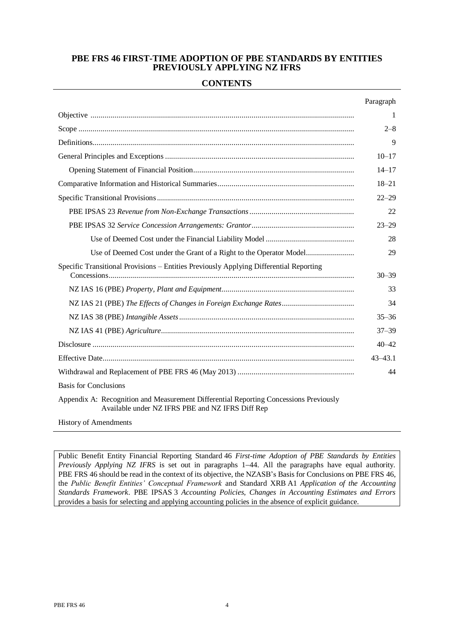## **PBE FRS 46 FIRST-TIME ADOPTION OF PBE STANDARDS BY ENTITIES PREVIOUSLY APPLYING NZ IFRS**

## **CONTENTS**

|                                                                                                                                           | Paragraph   |
|-------------------------------------------------------------------------------------------------------------------------------------------|-------------|
|                                                                                                                                           | 1           |
|                                                                                                                                           | $2 - 8$     |
|                                                                                                                                           | 9           |
|                                                                                                                                           | $10 - 17$   |
|                                                                                                                                           | $14 - 17$   |
|                                                                                                                                           | $18 - 21$   |
|                                                                                                                                           | $22 - 29$   |
|                                                                                                                                           | 22          |
|                                                                                                                                           | $23 - 29$   |
|                                                                                                                                           | 28          |
|                                                                                                                                           | 29          |
| Specific Transitional Provisions – Entities Previously Applying Differential Reporting                                                    | $30 - 39$   |
|                                                                                                                                           | 33          |
|                                                                                                                                           | 34          |
|                                                                                                                                           | $35 - 36$   |
|                                                                                                                                           | $37 - 39$   |
|                                                                                                                                           | $40 - 42$   |
|                                                                                                                                           | $43 - 43.1$ |
|                                                                                                                                           | 44          |
| <b>Basis for Conclusions</b>                                                                                                              |             |
| Appendix A: Recognition and Measurement Differential Reporting Concessions Previously<br>Available under NZ IFRS PBE and NZ IFRS Diff Rep |             |
| <b>History of Amendments</b>                                                                                                              |             |

Public Benefit Entity Financial Reporting Standard 46 *First-time Adoption of PBE Standards by Entities Previously Applying NZ IFRS* is set out in paragraphs 1–44. All the paragraphs have equal authority. PBE FRS 46 should be read in the context of its objective, the NZASB's Basis for Conclusions on PBE FRS 46, the *Public Benefit Entities' Conceptual Framework* and Standard XRB A1 *Application of the Accounting Standards Framework*. PBE IPSAS 3 *Accounting Policies, Changes in Accounting Estimates and Errors* provides a basis for selecting and applying accounting policies in the absence of explicit guidance.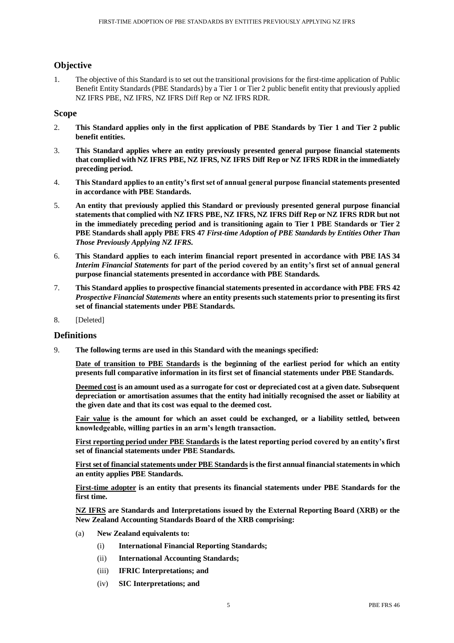## **Objective**

1. The objective of this Standard is to set out the transitional provisions for the first-time application of Public Benefit Entity Standards (PBE Standards) by a Tier 1 or Tier 2 public benefit entity that previously applied NZ IFRS PBE, NZ IFRS, NZ IFRS Diff Rep or NZ IFRS RDR.

## **Scope**

- 2. **This Standard applies only in the first application of PBE Standards by Tier 1 and Tier 2 public benefit entities.**
- 3. **This Standard applies where an entity previously presented general purpose financial statements that complied with NZ IFRS PBE, NZ IFRS, NZ IFRS Diff Rep or NZ IFRS RDR in the immediately preceding period.**
- 4. **This Standard applies to an entity's first set of annual general purpose financial statements presented in accordance with PBE Standards.**
- 5. **An entity that previously applied this Standard or previously presented general purpose financial statements that complied with NZ IFRS PBE, NZ IFRS, NZ IFRS Diff Rep or NZ IFRS RDR but not in the immediately preceding period and is transitioning again to Tier 1 PBE Standards or Tier 2 PBE Standards shall apply PBE FRS 47** *First-time Adoption of PBE Standards by Entities Other Than Those Previously Applying NZ IFRS.*
- 6. **This Standard applies to each interim financial report presented in accordance with PBE IAS 34**  *Interim Financial Statements* **for part of the period covered by an entity's first set of annual general purpose financial statements presented in accordance with PBE Standards.**
- 7. **This Standard applies to prospective financial statements presented in accordance with PBE FRS 42**  *Prospective Financial Statements* **where an entity presents such statements prior to presenting its first set of financial statements under PBE Standards.**
- 8. [Deleted]

## **Definitions**

9. **The following terms are used in this Standard with the meanings specified:**

**Date of transition to PBE Standards is the beginning of the earliest period for which an entity presents full comparative information in its first set of financial statements under PBE Standards.**

**Deemed cost is an amount used as a surrogate for cost or depreciated cost at a given date. Subsequent depreciation or amortisation assumes that the entity had initially recognised the asset or liability at the given date and that its cost was equal to the deemed cost.**

**Fair value is the amount for which an asset could be exchanged, or a liability settled, between knowledgeable, willing parties in an arm's length transaction.**

**First reporting period under PBE Standards is the latest reporting period covered by an entity's first set of financial statements under PBE Standards.**

**First set of financial statements under PBE Standardsis the first annual financial statements in which an entity applies PBE Standards.**

**First-time adopter is an entity that presents its financial statements under PBE Standards for the first time.**

**NZ IFRS are Standards and Interpretations issued by the External Reporting Board (XRB) or the New Zealand Accounting Standards Board of the XRB comprising:**

- (a) **New Zealand equivalents to:**
	- (i) **International Financial Reporting Standards;**
	- (ii) **International Accounting Standards;**
	- (iii) **IFRIC Interpretations; and**
	- (iv) **SIC Interpretations; and**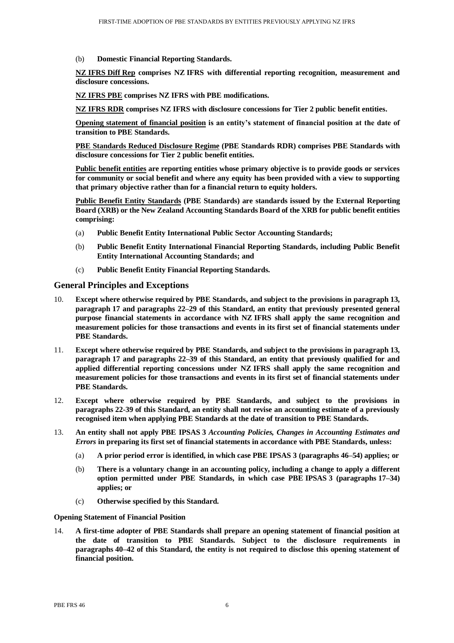(b) **Domestic Financial Reporting Standards.**

**NZ IFRS Diff Rep comprises NZ IFRS with differential reporting recognition, measurement and disclosure concessions.** 

**NZ IFRS PBE comprises NZ IFRS with PBE modifications.**

**NZ IFRS RDR comprises NZ IFRS with disclosure concessions for Tier 2 public benefit entities.**

**Opening statement of financial position is an entity's statement of financial position at the date of transition to PBE Standards.**

**PBE Standards Reduced Disclosure Regime (PBE Standards RDR) comprises PBE Standards with disclosure concessions for Tier 2 public benefit entities.**

**Public benefit entities are reporting entities whose primary objective is to provide goods or services for community or social benefit and where any equity has been provided with a view to supporting that primary objective rather than for a financial return to equity holders.**

**Public Benefit Entity Standards (PBE Standards) are standards issued by the External Reporting Board (XRB) or the New Zealand Accounting Standards Board of the XRB for public benefit entities comprising:**

- (a) **Public Benefit Entity International Public Sector Accounting Standards;**
- (b) **Public Benefit Entity International Financial Reporting Standards, including Public Benefit Entity International Accounting Standards; and**
- (c) **Public Benefit Entity Financial Reporting Standards.**

## **General Principles and Exceptions**

- 10. **Except where otherwise required by PBE Standards, and subject to the provisions in paragraph 13, paragraph 17 and paragraphs 22–29 of this Standard, an entity that previously presented general purpose financial statements in accordance with NZ IFRS shall apply the same recognition and measurement policies for those transactions and events in its first set of financial statements under PBE Standards.**
- 11. **Except where otherwise required by PBE Standards, and subject to the provisions in paragraph 13, paragraph 17 and paragraphs 22–39 of this Standard, an entity that previously qualified for and applied differential reporting concessions under NZ IFRS shall apply the same recognition and measurement policies for those transactions and events in its first set of financial statements under PBE Standards.**
- 12. **Except where otherwise required by PBE Standards, and subject to the provisions in paragraphs 22-39 of this Standard, an entity shall not revise an accounting estimate of a previously recognised item when applying PBE Standards at the date of transition to PBE Standards.**
- 13. **An entity shall not apply PBE IPSAS 3** *Accounting Policies, Changes in Accounting Estimates and Errors* **in preparing its first set of financial statements in accordance with PBE Standards, unless:**
	- (a) **A prior period error is identified, in which case PBE IPSAS 3 (paragraphs 46–54) applies; or**
	- (b) **There is a voluntary change in an accounting policy, including a change to apply a different option permitted under PBE Standards, in which case PBE IPSAS 3 (paragraphs 17–34) applies; or**
	- (c) **Otherwise specified by this Standard.**

#### **Opening Statement of Financial Position**

14. **A first-time adopter of PBE Standards shall prepare an opening statement of financial position at the date of transition to PBE Standards. Subject to the disclosure requirements in paragraphs 40–42 of this Standard, the entity is not required to disclose this opening statement of financial position.**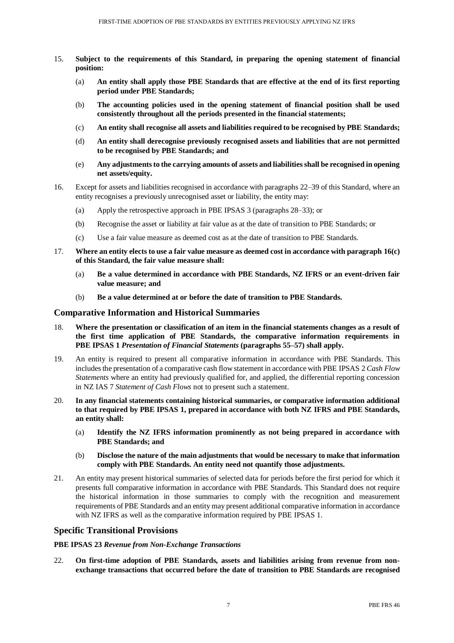- 15. **Subject to the requirements of this Standard, in preparing the opening statement of financial position:**
	- (a) **An entity shall apply those PBE Standards that are effective at the end of its first reporting period under PBE Standards;**
	- (b) **The accounting policies used in the opening statement of financial position shall be used consistently throughout all the periods presented in the financial statements;**
	- (c) **An entity shall recognise all assets and liabilities required to be recognised by PBE Standards;**
	- (d) **An entity shall derecognise previously recognised assets and liabilities that are not permitted to be recognised by PBE Standards; and**
	- (e) **Any adjustments to the carrying amounts of assets and liabilities shall be recognised in opening net assets/equity.**
- 16. Except for assets and liabilities recognised in accordance with paragraphs 22–39 of this Standard, where an entity recognises a previously unrecognised asset or liability, the entity may:
	- (a) Apply the retrospective approach in PBE IPSAS 3 (paragraphs 28–33); or
	- (b) Recognise the asset or liability at fair value as at the date of transition to PBE Standards; or
	- (c) Use a fair value measure as deemed cost as at the date of transition to PBE Standards.
- 17. **Where an entity elects to use a fair value measure as deemed cost in accordance with paragraph 16(c) of this Standard, the fair value measure shall:**
	- (a) **Be a value determined in accordance with PBE Standards, NZ IFRS or an event-driven fair value measure; and**
	- (b) **Be a value determined at or before the date of transition to PBE Standards.**

## **Comparative Information and Historical Summaries**

- 18. **Where the presentation or classification of an item in the financial statements changes as a result of the first time application of PBE Standards, the comparative information requirements in PBE IPSAS 1** *Presentation of Financial Statements* **(paragraphs 55–57) shall apply.**
- 19. An entity is required to present all comparative information in accordance with PBE Standards. This includesthe presentation of a comparative cash flow statement in accordance with PBE IPSAS 2 *Cash Flow Statements* where an entity had previously qualified for, and applied, the differential reporting concession in NZ IAS 7 *Statement of Cash Flows* not to present such a statement.
- 20. **In any financial statements containing historical summaries, or comparative information additional to that required by PBE IPSAS 1, prepared in accordance with both NZ IFRS and PBE Standards, an entity shall:** 
	- (a) **Identify the NZ IFRS information prominently as not being prepared in accordance with PBE Standards; and**
	- (b) **Disclose the nature of the main adjustments that would be necessary to make that information comply with PBE Standards. An entity need not quantify those adjustments.**
- 21. An entity may present historical summaries of selected data for periods before the first period for which it presents full comparative information in accordance with PBE Standards. This Standard does not require the historical information in those summaries to comply with the recognition and measurement requirements of PBE Standards and an entity may present additional comparative information in accordance with NZ IFRS as well as the comparative information required by PBE IPSAS 1.

## **Specific Transitional Provisions**

#### **PBE IPSAS 23** *Revenue from Non-Exchange Transactions*

22. **On first-time adoption of PBE Standards, assets and liabilities arising from revenue from nonexchange transactions that occurred before the date of transition to PBE Standards are recognised**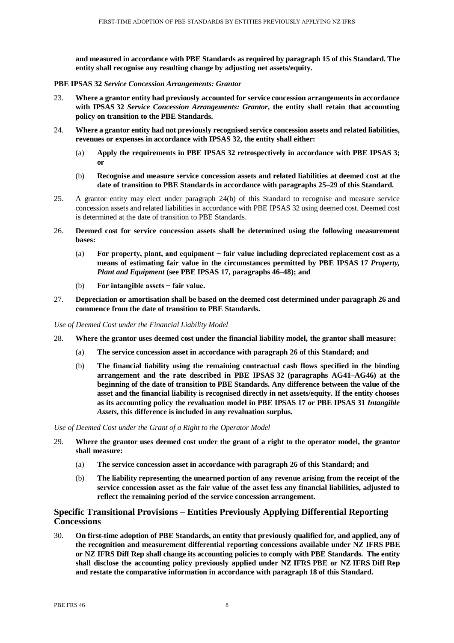**and measured in accordance with PBE Standards as required by paragraph 15 of this Standard. The entity shall recognise any resulting change by adjusting net assets/equity.**

#### **PBE IPSAS 32** *Service Concession Arrangements: Grantor*

- 23. **Where a grantor entity had previously accounted for service concession arrangements in accordance with IPSAS 32** *Service Concession Arrangements: Grantor***, the entity shall retain that accounting policy on transition to the PBE Standards.**
- 24. **Where a grantor entity had not previously recognised service concession assets and related liabilities, revenues or expenses in accordance with IPSAS 32, the entity shall either:**
	- (a) **Apply the requirements in PBE IPSAS 32 retrospectively in accordance with PBE IPSAS 3; or**
	- (b) **Recognise and measure service concession assets and related liabilities at deemed cost at the date of transition to PBE Standards in accordance with paragraphs 25–29 of this Standard.**
- 25. A grantor entity may elect under paragraph 24(b) of this Standard to recognise and measure service concession assets and related liabilities in accordance with PBE IPSAS 32 using deemed cost. Deemed cost is determined at the date of transition to PBE Standards.
- 26. **Deemed cost for service concession assets shall be determined using the following measurement bases:**
	- (a) **For property, plant, and equipment − fair value including depreciated replacement cost as a means of estimating fair value in the circumstances permitted by PBE IPSAS 17** *Property, Plant and Equipment* **(see PBE IPSAS 17, paragraphs 46–48); and**
	- (b) **For intangible assets − fair value.**
- 27. **Depreciation or amortisation shall be based on the deemed cost determined under paragraph 26 and commence from the date of transition to PBE Standards.**

*Use of Deemed Cost under the Financial Liability Model*

- 28. **Where the grantor uses deemed cost under the financial liability model, the grantor shall measure:**
	- (a) **The service concession asset in accordance with paragraph 26 of this Standard; and**
	- (b) **The financial liability using the remaining contractual cash flows specified in the binding arrangement and the rate described in PBE IPSAS 32 (paragraphs AG41–AG46) at the beginning of the date of transition to PBE Standards. Any difference between the value of the asset and the financial liability is recognised directly in net assets/equity. If the entity chooses as its accounting policy the revaluation model in PBE IPSAS 17 or PBE IPSAS 31** *Intangible Assets***, this difference is included in any revaluation surplus.**

#### *Use of Deemed Cost under the Grant of a Right to the Operator Model*

- 29. **Where the grantor uses deemed cost under the grant of a right to the operator model, the grantor shall measure:**
	- (a) **The service concession asset in accordance with paragraph 26 of this Standard; and**
	- (b) **The liability representing the unearned portion of any revenue arising from the receipt of the service concession asset as the fair value of the asset less any financial liabilities, adjusted to reflect the remaining period of the service concession arrangement.**

## **Specific Transitional Provisions – Entities Previously Applying Differential Reporting Concessions**

30. **On first-time adoption of PBE Standards, an entity that previously qualified for, and applied, any of the recognition and measurement differential reporting concessions available under NZ IFRS PBE or NZ IFRS Diff Rep shall change its accounting policies to comply with PBE Standards. The entity shall disclose the accounting policy previously applied under NZ IFRS PBE or NZ IFRS Diff Rep and restate the comparative information in accordance with paragraph 18 of this Standard.**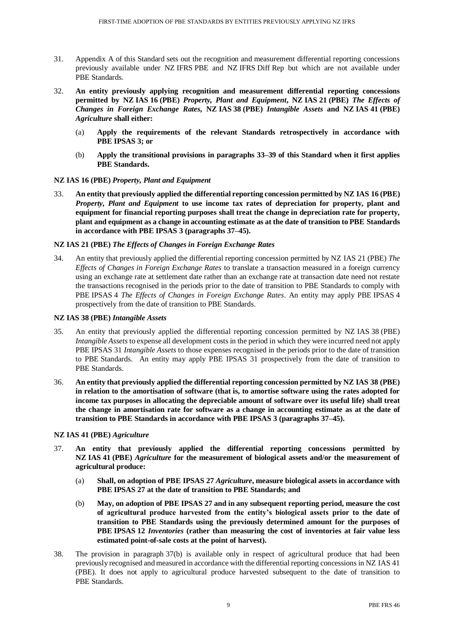- 31. Appendix A of this Standard sets out the recognition and measurement differential reporting concessions previously available under NZ IFRS PBE and NZ IFRS Diff Rep but which are not available under PBE Standards.
- 32. **An entity previously applying recognition and measurement differential reporting concessions permitted by NZ IAS 16 (PBE)** *Property, Plant and Equipment***, NZ IAS 21 (PBE)** *The Effects of Changes in Foreign Exchange Rates***, NZ IAS 38 (PBE)** *Intangible Assets* **and NZ IAS 41 (PBE)** *Agriculture* **shall either:**
	- (a) **Apply the requirements of the relevant Standards retrospectively in accordance with PBE IPSAS 3; or**
	- (b) **Apply the transitional provisions in paragraphs 33–39 of this Standard when it first applies PBE Standards.**

#### **NZ IAS 16 (PBE)** *Property, Plant and Equipment*

33. **An entity that previously applied the differential reporting concession permitted by NZ IAS 16 (PBE)** *Property, Plant and Equipment* **to use income tax rates of depreciation for property, plant and equipment for financial reporting purposes shall treat the change in depreciation rate for property, plant and equipment as a change in accounting estimate as at the date of transition to PBE Standards in accordance with PBE IPSAS 3 (paragraphs 37–45).**

#### **NZ IAS 21 (PBE)** *The Effects of Changes in Foreign Exchange Rates*

34. An entity that previously applied the differential reporting concession permitted by NZ IAS 21 (PBE) *The Effects of Changes in Foreign Exchange Rates* to translate a transaction measured in a foreign currency using an exchange rate at settlement date rather than an exchange rate at transaction date need not restate the transactions recognised in the periods prior to the date of transition to PBE Standards to comply with PBE IPSAS 4 *The Effects of Changes in Foreign Exchange Rates*. An entity may apply PBE IPSAS 4 prospectively from the date of transition to PBE Standards.

#### **NZ IAS 38 (PBE)** *Intangible Assets*

- 35. An entity that previously applied the differential reporting concession permitted by NZ IAS 38 (PBE) *Intangible Assets* to expense all development costs in the period in which they were incurred need not apply PBE IPSAS 31 *Intangible Assets* to those expenses recognised in the periods prior to the date of transition to PBE Standards. An entity may apply PBE IPSAS 31 prospectively from the date of transition to PBE Standards.
- 36. **An entity that previously applied the differential reporting concession permitted by NZ IAS 38 (PBE) in relation to the amortisation of software (that is, to amortise software using the rates adopted for income tax purposes in allocating the depreciable amount of software over its useful life) shall treat the change in amortisation rate for software as a change in accounting estimate as at the date of transition to PBE Standards in accordance with PBE IPSAS 3 (paragraphs 37–45).**

#### **NZ IAS 41 (PBE)** *Agriculture*

- 37. **An entity that previously applied the differential reporting concessions permitted by NZ IAS 41 (PBE)** *Agriculture* **for the measurement of biological assets and/or the measurement of agricultural produce:**
	- (a) **Shall, on adoption of PBE IPSAS 27** *Agriculture***, measure biological assets in accordance with PBE IPSAS 27 at the date of transition to PBE Standards; and**
	- (b) **May, on adoption of PBE IPSAS 27 and in any subsequent reporting period, measure the cost of agricultural produce harvested from the entity's biological assets prior to the date of transition to PBE Standards using the previously determined amount for the purposes of PBE IPSAS 12** *Inventories* **(rather than measuring the cost of inventories at fair value less estimated point-of-sale costs at the point of harvest).**
- 38. The provision in paragraph 37(b) is available only in respect of agricultural produce that had been previously recognised and measured in accordance with the differential reporting concessions in NZ IAS 41 (PBE). It does not apply to agricultural produce harvested subsequent to the date of transition to PBE Standards.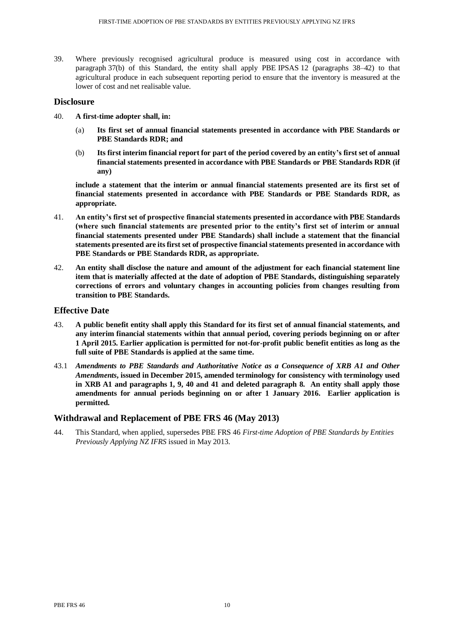39. Where previously recognised agricultural produce is measured using cost in accordance with paragraph 37(b) of this Standard, the entity shall apply PBE IPSAS 12 (paragraphs 38–42) to that agricultural produce in each subsequent reporting period to ensure that the inventory is measured at the lower of cost and net realisable value.

## **Disclosure**

- 40. **A first-time adopter shall, in:**
	- (a) **Its first set of annual financial statements presented in accordance with PBE Standards or PBE Standards RDR; and**
	- (b) **Its first interim financial report for part of the period covered by an entity's first set of annual financial statements presented in accordance with PBE Standards or PBE Standards RDR (if any)**

**include a statement that the interim or annual financial statements presented are its first set of financial statements presented in accordance with PBE Standards or PBE Standards RDR, as appropriate.**

- 41. **An entity's first set of prospective financial statements presented in accordance with PBE Standards (where such financial statements are presented prior to the entity's first set of interim or annual financial statements presented under PBE Standards) shall include a statement that the financial statements presented are its first set of prospective financial statements presented in accordance with PBE Standards or PBE Standards RDR, as appropriate.**
- 42. **An entity shall disclose the nature and amount of the adjustment for each financial statement line item that is materially affected at the date of adoption of PBE Standards, distinguishing separately corrections of errors and voluntary changes in accounting policies from changes resulting from transition to PBE Standards.**

## **Effective Date**

- 43. **A public benefit entity shall apply this Standard for its first set of annual financial statements, and any interim financial statements within that annual period, covering periods beginning on or after 1 April 2015. Earlier application is permitted for not-for-profit public benefit entities as long as the full suite of PBE Standards is applied at the same time.**
- 43.1 *Amendments to PBE Standards and Authoritative Notice as a Consequence of XRB A1 and Other Amendments***, issued in December 2015, amended terminology for consistency with terminology used in XRB A1 and paragraphs 1, 9, 40 and 41 and deleted paragraph 8. An entity shall apply those amendments for annual periods beginning on or after 1 January 2016. Earlier application is permitted.**

## **Withdrawal and Replacement of PBE FRS 46 (May 2013)**

44. This Standard, when applied, supersedes PBE FRS 46 *First-time Adoption of PBE Standards by Entities Previously Applying NZ IFRS* issued in May 2013.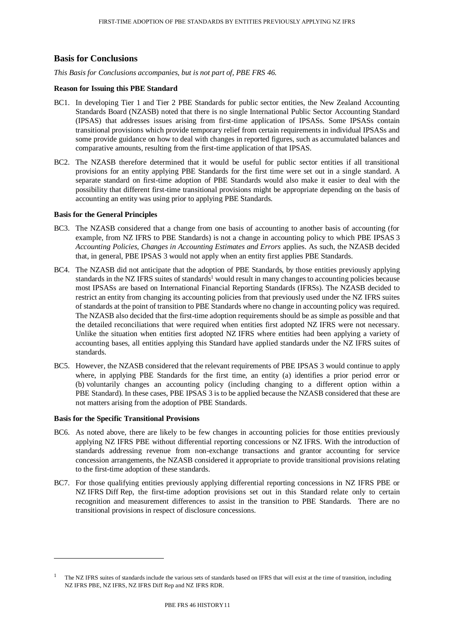## **Basis for Conclusions**

*This Basis for Conclusions accompanies, but is not part of, PBE FRS 46.* 

#### **Reason for Issuing this PBE Standard**

- BC1. In developing Tier 1 and Tier 2 PBE Standards for public sector entities, the New Zealand Accounting Standards Board (NZASB) noted that there is no single International Public Sector Accounting Standard (IPSAS) that addresses issues arising from first-time application of IPSASs. Some IPSASs contain transitional provisions which provide temporary relief from certain requirements in individual IPSASs and some provide guidance on how to deal with changes in reported figures, such as accumulated balances and comparative amounts, resulting from the first-time application of that IPSAS.
- BC2. The NZASB therefore determined that it would be useful for public sector entities if all transitional provisions for an entity applying PBE Standards for the first time were set out in a single standard. A separate standard on first-time adoption of PBE Standards would also make it easier to deal with the possibility that different first-time transitional provisions might be appropriate depending on the basis of accounting an entity was using prior to applying PBE Standards.

#### **Basis for the General Principles**

- BC3. The NZASB considered that a change from one basis of accounting to another basis of accounting (for example, from NZ IFRS to PBE Standards) is not a change in accounting policy to which PBE IPSAS 3 *Accounting Policies, Changes in Accounting Estimates and Errors* applies. As such, the NZASB decided that, in general, PBE IPSAS 3 would not apply when an entity first applies PBE Standards.
- BC4. The NZASB did not anticipate that the adoption of PBE Standards, by those entities previously applying standards in the NZ IFRS suites of standards<sup>1</sup> would result in many changes to accounting policies because most IPSASs are based on International Financial Reporting Standards (IFRSs). The NZASB decided to restrict an entity from changing its accounting policies from that previously used under the NZ IFRS suites of standards at the point of transition to PBE Standards where no change in accounting policy was required. The NZASB also decided that the first-time adoption requirements should be as simple as possible and that the detailed reconciliations that were required when entities first adopted NZ IFRS were not necessary. Unlike the situation when entities first adopted NZ IFRS where entities had been applying a variety of accounting bases, all entities applying this Standard have applied standards under the NZ IFRS suites of standards.
- BC5. However, the NZASB considered that the relevant requirements of PBE IPSAS 3 would continue to apply where, in applying PBE Standards for the first time, an entity (a) identifies a prior period error or (b) voluntarily changes an accounting policy (including changing to a different option within a PBE Standard). In these cases, PBE IPSAS 3 is to be applied because the NZASB considered that these are not matters arising from the adoption of PBE Standards.

#### **Basis for the Specific Transitional Provisions**

 $\overline{a}$ 

- BC6. As noted above, there are likely to be few changes in accounting policies for those entities previously applying NZ IFRS PBE without differential reporting concessions or NZ IFRS. With the introduction of standards addressing revenue from non-exchange transactions and grantor accounting for service concession arrangements, the NZASB considered it appropriate to provide transitional provisions relating to the first-time adoption of these standards.
- BC7. For those qualifying entities previously applying differential reporting concessions in NZ IFRS PBE or NZ IFRS Diff Rep, the first-time adoption provisions set out in this Standard relate only to certain recognition and measurement differences to assist in the transition to PBE Standards. There are no transitional provisions in respect of disclosure concessions.

<sup>1</sup> The NZ IFRS suites of standards include the various sets of standards based on IFRS that will exist at the time of transition, including NZ IFRS PBE, NZ IFRS, NZ IFRS Diff Rep and NZ IFRS RDR.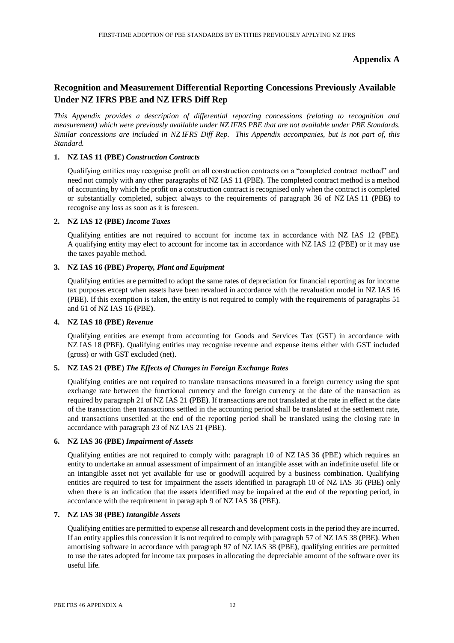# **Appendix A**

# **Recognition and Measurement Differential Reporting Concessions Previously Available Under NZ IFRS PBE and NZ IFRS Diff Rep**

*This Appendix provides a description of differential reporting concessions (relating to recognition and measurement) which were previously available under NZ IFRS PBE that are not available under PBE Standards. Similar concessions are included in NZ IFRS Diff Rep. This Appendix accompanies, but is not part of, this Standard.*

## **1. NZ IAS 11 (PBE)** *Construction Contracts*

Qualifying entities may recognise profit on all construction contracts on a "completed contract method" and need not comply with any other paragraphs of NZ IAS 11 **(**PBE**)**. The completed contract method is a method of accounting by which the profit on a construction contract is recognised only when the contract is completed or substantially completed, subject always to the requirements of paragraph 36 of NZ IAS 11 **(**PBE**)** to recognise any loss as soon as it is foreseen.

## **2. NZ IAS 12 (PBE)** *Income Taxes*

Qualifying entities are not required to account for income tax in accordance with NZ IAS 12 **(**PBE**)**. A qualifying entity may elect to account for income tax in accordance with NZ IAS 12 **(**PBE**)** or it may use the taxes payable method.

## **3. NZ IAS 16 (PBE)** *Property, Plant and Equipment*

Qualifying entities are permitted to adopt the same rates of depreciation for financial reporting as for income tax purposes except when assets have been revalued in accordance with the revaluation model in NZ IAS 16 (PBE). If this exemption is taken, the entity is not required to comply with the requirements of paragraphs 51 and 61 of NZ IAS 16 **(**PBE**)**.

#### **4. NZ IAS 18 (PBE)** *Revenue*

Qualifying entities are exempt from accounting for Goods and Services Tax (GST) in accordance with NZ IAS 18 **(**PBE**)**. Qualifying entities may recognise revenue and expense items either with GST included (gross) or with GST excluded (net).

## **5. NZ IAS 21 (PBE)** *The Effects of Changes in Foreign Exchange Rates*

Qualifying entities are not required to translate transactions measured in a foreign currency using the spot exchange rate between the functional currency and the foreign currency at the date of the transaction as required by paragraph 21 of NZ IAS 21 **(**PBE**)**. If transactions are not translated at the rate in effect at the date of the transaction then transactions settled in the accounting period shall be translated at the settlement rate, and transactions unsettled at the end of the reporting period shall be translated using the closing rate in accordance with paragraph 23 of NZ IAS 21 **(**PBE**)**.

## **6. NZ IAS 36 (PBE)** *Impairment of Assets*

Qualifying entities are not required to comply with: paragraph 10 of NZ IAS 36 **(**PBE**)** which requires an entity to undertake an annual assessment of impairment of an intangible asset with an indefinite useful life or an intangible asset not yet available for use or goodwill acquired by a business combination. Qualifying entities are required to test for impairment the assets identified in paragraph 10 of NZ IAS 36 **(**PBE**)** only when there is an indication that the assets identified may be impaired at the end of the reporting period, in accordance with the requirement in paragraph 9 of NZ IAS 36 **(**PBE**)**.

#### **7. NZ IAS 38 (PBE)** *Intangible Assets*

Qualifying entities are permitted to expense all research and development costs in the period they are incurred. If an entity applies this concession it is not required to comply with paragraph 57 of NZ IAS 38 **(**PBE**)**. When amortising software in accordance with paragraph 97 of NZ IAS 38 **(**PBE**)**, qualifying entities are permitted to use the rates adopted for income tax purposes in allocating the depreciable amount of the software over its useful life.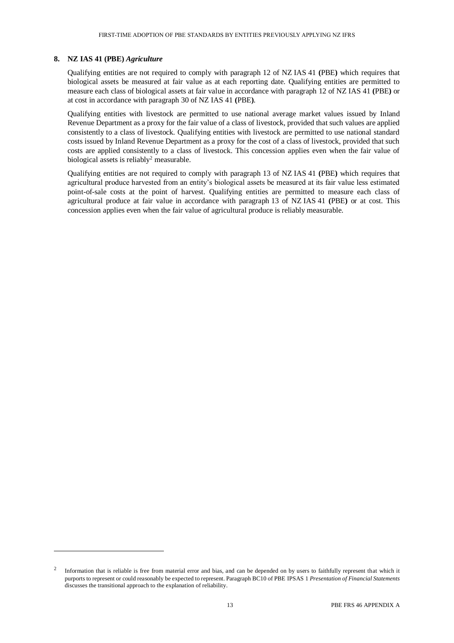#### **8. NZ IAS 41 (PBE)** *Agriculture*

 $\overline{a}$ 

Qualifying entities are not required to comply with paragraph 12 of NZ IAS 41 **(**PBE**)** which requires that biological assets be measured at fair value as at each reporting date. Qualifying entities are permitted to measure each class of biological assets at fair value in accordance with paragraph 12 of NZ IAS 41 **(**PBE**)** or at cost in accordance with paragraph 30 of NZ IAS 41 **(**PBE**)**.

Qualifying entities with livestock are permitted to use national average market values issued by Inland Revenue Department as a proxy for the fair value of a class of livestock, provided that such values are applied consistently to a class of livestock. Qualifying entities with livestock are permitted to use national standard costs issued by Inland Revenue Department as a proxy for the cost of a class of livestock, provided that such costs are applied consistently to a class of livestock. This concession applies even when the fair value of biological assets is reliably<sup>2</sup> measurable.

Qualifying entities are not required to comply with paragraph 13 of NZ IAS 41 **(**PBE**)** which requires that agricultural produce harvested from an entity's biological assets be measured at its fair value less estimated point-of-sale costs at the point of harvest. Qualifying entities are permitted to measure each class of agricultural produce at fair value in accordance with paragraph 13 of NZ IAS 41 **(**PBE**)** or at cost. This concession applies even when the fair value of agricultural produce is reliably measurable.

<sup>2</sup> Information that is reliable is free from material error and bias, and can be depended on by users to faithfully represent that which it purports to represent or could reasonably be expected to represent. Paragraph BC10 of PBE IPSAS 1 *Presentation of Financial Statements* discusses the transitional approach to the explanation of reliability.